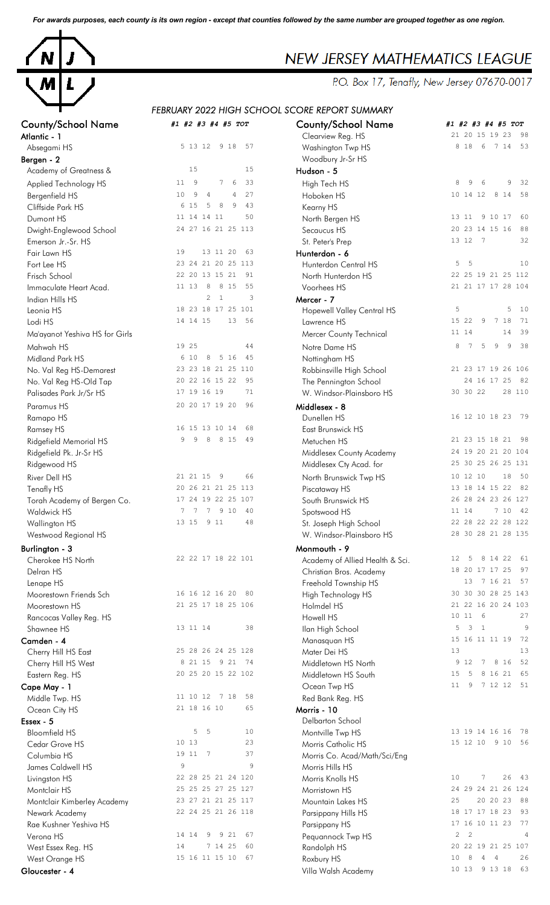*For awards purposes, each county is its own region - except that counties followed by the same number are grouped together as one region.*



# **NEW JERSEY MATHEMATICS LEAGUE**<br>P.O. Box 17, Tenafly, New Jersey 07670-0017

# *FEBRUARY 2022 HIGH SCHOOL SCORE REPORT SUMMARY*

| <b>County/School Name</b><br>Atlantic - 1 | #1 #2 #3 #4 #5 TOT                    | <b>County/School Name</b><br>Clearview Reg. HS | #1 #2 #3 #4 #5 TOI<br>21 20 15 19 23 9     |
|-------------------------------------------|---------------------------------------|------------------------------------------------|--------------------------------------------|
| Absegami HS                               | 5 13 12 9 18<br>57                    | Washington Twp HS                              | 8 1 8<br>$6\overline{6}$<br>7145           |
| Bergen - 2                                |                                       | Woodbury Jr-Sr HS                              |                                            |
| Academy of Greatness &                    | 15<br>15                              | Hudson - 5                                     |                                            |
| Applied Technology HS                     | 33<br>11<br>- 9<br>7<br>6             | High Tech HS                                   | 8<br>9<br>9<br>6                           |
| Bergenfield HS                            | 9<br>27<br>10<br>4<br>4               | Hoboken HS                                     | 10 14 12<br>8 14 5                         |
| Cliffside Park HS                         | 6 15<br>8<br>9<br>43<br>5             | Kearny HS                                      |                                            |
| Dumont HS                                 | 50<br>11 14 14 11                     | North Bergen HS                                | 9 10 17<br>13 11                           |
| Dwight-Englewood School                   | 24 27 16 21 25 113                    | Secaucus HS                                    | 20 23 14 15 16                             |
| Emerson Jr.-Sr. HS                        |                                       | St. Peter's Prep                               | 13 12<br>$\overline{7}$                    |
| Fair Lawn HS                              | 19<br>13 11 20<br>63                  | Hunterdon - 6                                  |                                            |
| Fort Lee HS                               | 23 24 21 20 25 113                    | Hunterdon Central HS                           | 5<br>5                                     |
| Frisch School                             | 22 20 13 15 21<br>91                  | North Hunterdon HS                             | 22 25 19 21 25 11                          |
| Immaculate Heart Acad.                    | 11 13<br>8<br>8 1 5<br>55             | Voorhees HS                                    | 21 21 17 17 28 10                          |
| Indian Hills HS                           | $\mathbf{2}$<br>$\mathbf{1}$<br>3     | Mercer - 7                                     |                                            |
| Leonia HS                                 | 18 23 18 17 25 101                    | Hopewell Valley Central HS                     | 5<br>5<br>-1                               |
| Lodi HS                                   | 14 14 15<br>13<br>56                  | Lawrence HS                                    | 15 22<br>9<br>7 18                         |
| Ma'ayanot Yeshiva HS for Girls            |                                       | Mercer County Technical                        | 14<br>11 14                                |
| Mahwah HS                                 | 19 25<br>44                           | Notre Dame HS                                  | 5<br>7<br>9<br>9<br>8<br>ß                 |
| Midland Park HS                           | 5 16<br>45<br>6 10<br>8               | Nottingham HS                                  |                                            |
| No. Val Reg HS-Demarest                   | 23 23 18 21 25 110                    | Robbinsville High School                       | 21 23 17 19 26 10                          |
| No. Val Reg HS-Old Tap                    | 20 22 16 15 22<br>95                  | The Pennington School                          | 24 16 17 25 8                              |
| Palisades Park Jr/Sr HS                   | 17 19 16 19<br>71                     | W. Windsor-Plainsboro HS                       | 30 30 22<br>28 11                          |
| Paramus HS                                | 20 20 17 19 20<br>96                  | Middlesex - 8                                  |                                            |
| Ramapo HS                                 |                                       | Dunellen HS                                    | 16 12 10 18 23 7                           |
| Ramsey HS                                 | 16 15 13 10 14<br>68                  | East Brunswick HS                              |                                            |
| Ridgefield Memorial HS                    | 9<br>9<br>8<br>8 1 5<br>49            | Metuchen HS                                    | 21 23 15 18 21 9                           |
| Ridgefield Pk. Jr-Sr HS                   |                                       | Middlesex County Academy                       | 24 19 20 21 20 10                          |
| Ridgewood HS                              |                                       | Middlesex Cty Acad. for                        | 25 30 25 26 25 13                          |
| River Dell HS                             | 66<br>21 21 15<br>9                   | North Brunswick Twp HS                         | 10 12 10<br>18                             |
| Tenafly HS                                | 20 26 21 21 25 113                    | Piscataway HS                                  | 13 18 14 15 22 8                           |
| Torah Academy of Bergen Co.               | 17 24 19 22 25 107                    | South Brunswick HS                             | 26 28 24 23 26 12                          |
| Waldwick HS                               | $7\phantom{.0}$<br>7<br>7 9 10<br>40  | Spotswood HS                                   | 7104<br>11 14                              |
| Wallington HS                             | 13 15 9 11<br>48                      | St. Joseph High School                         | 22 28 22 22 28 12                          |
| Westwood Regional HS                      |                                       | W. Windsor-Plainsboro HS                       | 28 30 28 21 28 13                          |
| Burlington - 3                            |                                       | Monmouth - 9                                   |                                            |
| Cherokee HS North                         | 22 22 17 18 22 101                    | Academy of Allied Health & Sci.                | 8 14 22 6<br>$12 \,$<br>$5^{\circ}$        |
| Delran HS                                 |                                       | Christian Bros. Academy                        | 18 20 17 17 25 9                           |
| Lenape HS                                 |                                       | Freehold Township HS                           | 13 7 16 21 5                               |
| Moorestown Friends Sch                    | 16 16 12 16 20 80                     | High Technology HS                             | 30 30 30 28 25 14                          |
| Moorestown HS                             | 21 25 17 18 25 106                    | Holmdel HS                                     | 21 22 16 20 24 10                          |
| Rancocas Valley Reg. HS                   |                                       | Howell HS                                      | 10116                                      |
| Shawnee HS                                | 13 11 14<br>38                        | Ilan High School                               | 5<br>3<br>$\overline{1}$                   |
| Camden - 4                                |                                       | Manasquan HS                                   | 15 16 11 11 19                             |
| Cherry Hill HS East                       | 25 28 26 24 25 128                    | Mater Dei HS                                   | 13<br>8 1 6                                |
| Cherry Hill HS West                       | 8 21 15 9 21 74<br>20 25 20 15 22 102 | Middletown HS North                            | 9 1 2<br>$7\phantom{.0}$<br>8 16 21<br>- 5 |
| Eastern Reg. HS                           |                                       | Middletown HS South                            | 15<br>7 12 12 5<br>11<br>9                 |
| Cape May - 1                              | 11 10 12 7 18<br>58                   | Ocean Twp HS                                   |                                            |
| Middle Twp. HS                            | 21 18 16 10<br>65                     | Red Bank Reg. HS<br>Morris - 10                |                                            |
| Ocean City HS<br>Essex - 5                |                                       | Delbarton School                               |                                            |
| <b>Bloomfield HS</b>                      | 5<br>5<br>10                          | Montville Twp HS                               | 13 19 14 16 16 7                           |
| Cedar Grove HS                            | 23<br>10 13                           | Morris Catholic HS                             | 15 12 10 9 10 5                            |
| Columbia HS                               | 19 11<br>7<br>37                      | Morris Co. Acad/Math/Sci/Eng                   |                                            |
| James Caldwell HS                         | 9<br>9                                | Morris Hills HS                                |                                            |
| Livingston HS                             | 22 28 25 21 24 120                    | Morris Knolls HS                               | 26 <sup>2</sup><br>10<br>7                 |
| Montclair HS                              | 25 25 25 27 25 127                    | Morristown HS                                  | 24 29 24 21 26 12                          |
| Montclair Kimberley Academy               | 23 27 21 21 25 117                    | Mountain Lakes HS                              | 25<br>20 20 23 8                           |
| Newark Academy                            | 22 24 25 21 26 118                    | Parsippany Hills HS                            | 18 17 17 18 23 9                           |
| Rae Kushner Yeshiva HS                    |                                       | Parsippany HS                                  | 17 16 10 11 23 7                           |
| Verona HS                                 | 9 21<br>14 14<br>67<br>9              | Pequannock Twp HS                              | $\overline{c}$<br>2                        |
| West Essex Reg. HS                        | 7 14 25<br>14<br>60                   | Randolph HS                                    | 20 22 19 21 25 10                          |
| West Orange HS                            | 15 16 11 15 10 67                     | Roxbury HS                                     | 10 8<br>$4\quad 4$                         |
|                                           |                                       |                                                |                                            |

| <b>County/School Name</b><br>Atlantic - 1 | #1 #2 #3 #4 #5 TOT                                | <b>County/School Name</b><br>Clearview Reg. HS | #1 #2 #3 #4 #5 TOT<br>21 20 15 19 23<br>-98  |
|-------------------------------------------|---------------------------------------------------|------------------------------------------------|----------------------------------------------|
| Absegami HS                               | 5 13 12<br>9 18<br>57                             | Washington Twp HS                              | 8 1 8<br>6<br>7 14<br>53                     |
| Bergen - 2                                |                                                   | Woodbury Jr-Sr HS                              |                                              |
| Academy of Greatness &                    | 15<br>15                                          | Hudson - 5                                     |                                              |
| Applied Technology HS                     | 9<br>6<br>33<br>11<br>7                           | High Tech HS                                   | 9<br>8<br>9<br>6<br>32                       |
| Bergenfield HS                            | 9<br>$\overline{4}$<br>$\overline{4}$<br>27<br>10 | Hoboken HS                                     | 10 14 12<br>8 1 4<br>58                      |
| Cliffside Park HS                         | 8<br>9<br>6 15<br>5<br>43                         | Kearny HS                                      |                                              |
| Dumont HS                                 | 11 14 14 11<br>50                                 | North Bergen HS                                | 9 10 17<br>13 11<br>60                       |
| Dwight-Englewood School                   | 24 27 16 21 25 113                                | Secaucus HS                                    | 20 23 14 15 16<br>88                         |
| Emerson Jr.-Sr. HS                        |                                                   | St. Peter's Prep                               | 13 12 7<br>32                                |
| Fair Lawn HS                              | 19<br>13 11 20<br>63                              | Hunterdon - 6                                  |                                              |
| Fort Lee HS                               | 23 24 21 20 25 113                                | Hunterdon Central HS                           | 5<br>- 5<br>10                               |
| Frisch School                             | 22 20 13 15 21<br>91                              | North Hunterdon HS                             | 22 25 19 21 25 112                           |
| Immaculate Heart Acad.                    | 11 13<br>8<br>8 15<br>55                          | Voorhees HS                                    | 21 21 17 17 28 104                           |
| Indian Hills HS                           | $\overline{c}$<br>$\overline{1}$<br>3             | Mercer - 7                                     |                                              |
| Leonia HS                                 | 18 23 18 17 25 101                                | Hopewell Valley Central HS                     | 5<br>10<br>5                                 |
| Lodi HS                                   | 14 14 15<br>13<br>56                              | Lawrence HS                                    | 15 22<br>9<br>7 18<br>71                     |
| Ma'ayanot Yeshiva HS for Girls            |                                                   | Mercer County Technical                        | 14<br>39<br>11 14                            |
| Mahwah HS                                 | 19 25<br>44                                       | Notre Dame HS                                  | 5<br>9<br>38<br>7<br>9<br>8                  |
| Midland Park HS                           | 5 16<br>45<br>6 10<br>8                           | Nottingham HS                                  |                                              |
| No. Val Reg HS-Demarest                   | 23 23 18 21 25 110                                | Robbinsville High School                       | 21 23 17 19 26 106                           |
| No. Val Reg HS-Old Tap                    | 20 22 16 15 22<br>95                              | The Pennington School                          | 24 16 17 25<br>82                            |
| Palisades Park Jr/Sr HS                   | 17 19 16 19<br>71                                 | W. Windsor-Plainsboro HS                       | 30 30 22<br>28 110                           |
| Paramus HS                                | 20 20 17 19 20<br>96                              | Middlesex - 8                                  |                                              |
| Ramapo HS                                 |                                                   | Dunellen HS                                    | 16 12 10 18 23<br>79                         |
| Ramsey HS                                 | 16 15 13 10 14<br>68                              | East Brunswick HS                              |                                              |
| Ridgefield Memorial HS                    | 9<br>9<br>8 8 15<br>49                            | Metuchen HS                                    | 21 23 15 18 21<br>- 98                       |
| Ridgefield Pk. Jr-Sr HS                   |                                                   | Middlesex County Academy                       | 24 19 20 21 20 104                           |
| Ridgewood HS                              |                                                   | Middlesex Cty Acad. for                        | 25 30 25 26 25 131                           |
| River Dell HS                             | 21 21 15 9<br>66                                  | North Brunswick Twp HS                         | 18<br>10 12 10<br>50                         |
| Tenafly HS                                | 20 26 21 21 25 113                                | Piscataway HS                                  | 13 18 14 15 22<br>-82                        |
| Torah Academy of Bergen Co.               | 17 24 19 22 25 107                                | South Brunswick HS                             | 26 28 24 23 26 127                           |
| Waldwick HS                               | 7 7 9 10<br>7<br>40                               | Spotswood HS                                   | 7 10<br>42<br>11 14                          |
| Wallington HS                             | 13 15 9 11<br>48                                  | St. Joseph High School                         | 22 28 22 22 28 122                           |
| Westwood Regional HS                      |                                                   | W. Windsor-Plainsboro HS                       | 28 30 28 21 28 135                           |
| Burlington - 3                            |                                                   | Monmouth - 9                                   |                                              |
| Cherokee HS North                         | 22 22 17 18 22 101                                | Academy of Allied Health & Sci.                | $12 \,$<br>-5<br>8 14 22<br>61               |
| Delran HS                                 |                                                   | Christian Bros. Academy                        | 18 20 17 17 25<br>97                         |
| Lenape HS                                 |                                                   | Freehold Township HS                           | 13<br>7 16 21<br>57                          |
| Moorestown Friends Sch                    | 16 16 12 16 20<br>80                              | High Technology HS                             | 30 30 30 28 25 143                           |
| Moorestown HS                             | 21 25 17 18 25 106                                | Holmdel HS                                     | 21 22 16 20 24 103                           |
| Rancocas Valley Reg. HS                   |                                                   | Howell HS                                      | 27<br>10 11 6                                |
| Shawnee HS                                | 13 11 14<br>38                                    | Ilan High School                               | 9<br>5<br>3<br>$\mathbf{1}$                  |
| Camden - 4                                |                                                   | Manasquan HS                                   | 15 16 11 11 19<br>72                         |
| Cherry Hill HS East                       | 25 28 26 24 25 128                                | Mater Dei HS                                   | 13<br>13                                     |
| Cherry Hill HS West                       | 8 21 15 9 21<br>74                                | Middletown HS North                            | 8 1 6<br>$7\phantom{.0}$<br>52<br>9 1 2      |
| Eastern Reg. HS                           | 20 25 20 15 22 102                                | Middletown HS South                            | 8 16 21<br>65<br>15<br>- 5                   |
| Cape May - 1                              |                                                   | Ocean Twp HS                                   | 7 12 12<br>51<br>11<br>9                     |
| Middle Twp. HS                            | 11 10 12 7 18<br>58                               | Red Bank Reg. HS                               |                                              |
| Ocean City HS                             | 65<br>21 18 16 10                                 | Morris - 10                                    |                                              |
| Essex - 5                                 |                                                   | Delbarton School                               |                                              |
| <b>Bloomfield HS</b>                      | 5<br>5<br>10                                      | Montville Twp HS                               | 13 19 14 16 16<br>78                         |
| Cedar Grove HS                            | 23<br>10 13                                       | Morris Catholic HS                             | 15 12 10 9 10<br>56                          |
| Columbia HS                               | 37<br>19 11<br>7                                  | Morris Co. Acad/Math/Sci/Eng                   |                                              |
| James Caldwell HS                         | 9<br>9                                            | Morris Hills HS                                |                                              |
| Livingston HS                             | 22 28 25 21 24 120                                | Morris Knolls HS                               | 10<br>7<br>26<br>43                          |
| Montclair HS                              | 25 25 25 27 25 127                                | Morristown HS                                  | 24 29 24 21 26 124                           |
| Montclair Kimberley Academy               | 23 27 21 21 25 117<br>22 24 25 21 26 118          | Mountain Lakes HS                              | 25<br>20 20 23<br>88<br>18 17 17 18 23<br>93 |
| Newark Academy                            |                                                   | Parsippany Hills HS                            | 17 16 10 11 23<br>77                         |
| Rae Kushner Yeshiva HS                    | 67                                                | Parsippany HS                                  | 2<br>$\overline{2}$<br>4                     |
| Verona HS                                 | 14 14<br>9 9 2 1<br>7 14 25<br>14<br>60           | Pequannock Twp HS                              | 20 22 19 21 25 107                           |
| West Essex Reg. HS                        | 15 16 11 15 10<br>67                              | Randolph HS                                    | 26<br>10<br>8<br>4<br>$\overline{4}$         |
| West Orange HS<br>Gloucester - 4          |                                                   | Roxbury HS<br>Villa Walsh Academy              | 10 13 9 13 18 63                             |
|                                           |                                                   |                                                |                                              |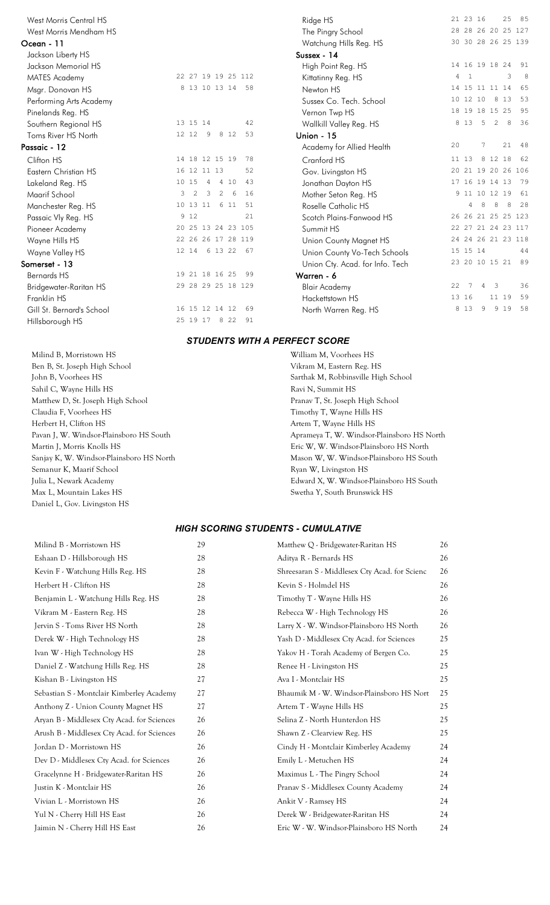| West Morris Central HS    |                |       |               |               |       |                    | Ridge HS                        |    | 21 23 16       |     |                         |       | 25 85              |
|---------------------------|----------------|-------|---------------|---------------|-------|--------------------|---------------------------------|----|----------------|-----|-------------------------|-------|--------------------|
| West Morris Mendham HS    |                |       |               |               |       |                    | The Pingry School               |    |                |     |                         |       | 28 28 26 20 25 127 |
| Ocean - 11                |                |       |               |               |       |                    | Watchung Hills Reg. HS          |    |                |     |                         |       | 30 30 28 26 25 139 |
| Jackson Liberty HS        |                |       |               |               |       |                    | Sussex - 14                     |    |                |     |                         |       |                    |
| Jackson Memorial HS       |                |       |               |               |       |                    | High Point Reg. HS              |    | 14 16 19 18 24 |     |                         |       | 91                 |
| <b>MATES Academy</b>      |                |       |               |               |       | 22 27 19 19 25 112 | Kittatinny Reg. HS              | 4  | $\mathbf{1}$   |     |                         | 3     | 8                  |
| Msgr. Donovan HS          |                |       |               |               |       | 8 13 10 13 14 58   | Newton HS                       |    | 14 15 11 11 14 |     |                         |       | 65                 |
| Performing Arts Academy   |                |       |               |               |       |                    | Sussex Co. Tech. School         |    | 10 12 10       |     | 8                       | 13    | 53                 |
| Pinelands Reg. HS         |                |       |               |               |       |                    | Vernon Twp HS                   |    | 18 19 18 15 25 |     |                         |       | 95                 |
| Southern Regional HS      | 13 15 14       |       |               |               |       | 42                 | Wallkill Valley Reg. HS         |    | 8 1 3          | - 5 | 2                       | 8     | 36                 |
| Toms River HS North       | 12 12          |       | 9             |               | 8 1 2 | 53                 | <b>Union - 15</b>               |    |                |     |                         |       |                    |
| Passaic - 12              |                |       |               |               |       |                    | Academy for Allied Health       | 20 |                | 7   |                         | 21    | -48                |
| Clifton HS                | 14 18 12 15 19 |       |               |               |       | 78                 | Cranford HS                     |    | 11 13          |     | 8 12 18                 |       | 62                 |
| Eastern Christian HS      | 16 12 11 13    |       |               |               |       | 52                 | Gov. Livingston HS              |    |                |     |                         |       | 20 21 19 20 26 106 |
| Lakeland Reg. HS          | 10 15          |       | 4             |               | 4 10  | 43                 | Jonathan Dayton HS              |    | 17 16 19 14 13 |     |                         |       | 79                 |
| Maarif School             | 3              | 2     | $\mathcal{B}$ | 2             | 6     | 16                 | Mother Seton Reg. HS            |    | 9 11 10 12 19  |     |                         |       | 61                 |
| Manchester Reg. HS        | 10 13 11       |       |               |               | 6 11  | 51                 | Roselle Catholic HS             |    | 4              | 8   | 8                       | 8     | 28                 |
| Passaic Vly Reg. HS       |                | 9 1 2 |               |               |       | 21                 | Scotch Plains-Fanwood HS        |    |                |     |                         |       | 26 26 21 25 25 123 |
| Pioneer Academy           |                |       |               |               |       | 20 25 13 24 23 105 | Summit HS                       |    |                |     |                         |       | 22 27 21 24 23 117 |
| Wayne Hills HS            |                |       |               |               |       | 22 26 26 17 28 119 | Union County Magnet HS          |    |                |     |                         |       | 24 24 26 21 23 118 |
| Wayne Valley HS           | 12 14 6 13 22  |       |               |               |       | 67                 | Union County Vo-Tech Schools    |    | 15 15 14       |     |                         |       | 44                 |
| Somerset - 13             |                |       |               |               |       |                    | Union Cty. Acad. for Info. Tech |    | 23 20 10 15 21 |     |                         |       | 89                 |
| <b>Bernards HS</b>        | 19 21 18 16 25 |       |               |               |       | 99                 | Warren - 6                      |    |                |     |                         |       |                    |
| Bridgewater-Raritan HS    |                |       |               |               |       | 29 28 29 25 18 129 | <b>Blair Academy</b>            | 22 | 7              | 4   | $\overline{\mathbf{3}}$ |       | 36                 |
| Franklin HS               |                |       |               |               |       |                    | Hackettstown HS                 |    | 13 16          |     |                         | 11 19 | 59                 |
| Gill St. Bernard's School | 16 15 12 14 12 |       |               |               |       | 69                 | North Warren Reg. HS            |    | 8 1 3          | 9   |                         | 9 1 9 | 58                 |
| Hillsborough HS           |                |       |               | 25 19 17 8 22 |       | 91                 |                                 |    |                |     |                         |       |                    |

| West Morris Central HS    |   |                |                 |   |       |                    | Ridge HS                        |       | 21 23 16 |                         | 25 85 |      |
|---------------------------|---|----------------|-----------------|---|-------|--------------------|---------------------------------|-------|----------|-------------------------|-------|------|
| West Morris Mendham HS    |   |                |                 |   |       |                    | The Pingry School               |       |          | 28 28 26 20 25 127      |       |      |
| cean - 11                 |   |                |                 |   |       |                    | Watchung Hills Reg. HS          |       |          | 30 30 28 26 25 139      |       |      |
| Jackson Liberty HS        |   |                |                 |   |       |                    | Sussex - 14                     |       |          |                         |       |      |
| Jackson Memorial HS       |   |                |                 |   |       |                    | High Point Reg. HS              |       |          | 14 16 19 18 24          |       | 91   |
| <b>MATES Academy</b>      |   |                |                 |   |       | 22 27 19 19 25 112 | 4<br>Kittatinny Reg. HS         |       |          |                         | 3     | 8    |
| Msgr. Donovan HS          |   |                |                 |   |       | 8 13 10 13 14 58   | Newton HS                       |       |          | 14 15 11 11 14          |       | 65   |
| Performing Arts Academy   |   |                |                 |   |       |                    | Sussex Co. Tech. School         |       | 10 12 10 |                         | 8 1 3 | 53   |
| Pinelands Reg. HS         |   |                |                 |   |       |                    | Vernon Twp HS                   |       |          | 18 19 18 15 25          |       | 95   |
| Southern Regional HS      |   | 13 15 14       |                 |   |       | 42                 | Wallkill Valley Reg. HS         |       | 8 1 3 5  | 2                       | 8     | 36   |
| Toms River HS North       |   | 12 12          | - 9             |   | 8 1 2 | 53                 | <b>Union - 15</b>               |       |          |                         |       |      |
| assaic - 12               |   |                |                 |   |       |                    | 20<br>Academy for Allied Health |       | 7        |                         | 21    | - 48 |
| Clifton HS                |   | 14 18 12 15 19 |                 |   |       | 78                 | Cranford HS                     | 11 13 |          | 8 12 18                 |       | 62   |
| Eastern Christian HS      |   | 16 12 11 13    |                 |   |       | 52                 | Gov. Livingston HS              |       |          | 20 21 19 20 26 106      |       |      |
| Lakeland Reg. HS          |   | 10 15          | $4\overline{4}$ |   | 4 10  | 43                 | Jonathan Dayton HS              |       |          | 17 16 19 14 13          |       | 79   |
| Maarif School             | 3 | 2              | $\mathbf{3}$    | 2 | 6     | 16                 | Mother Seton Reg. HS            |       |          | 9 11 10 12 19           |       | 61   |
| Manchester Reg. HS        |   | 10 13 11       |                 |   | 6 11  | 51                 | Roselle Catholic HS             |       |          | 8                       | 8     | 28   |
| Passaic Vly Reg. HS       |   | 9 1 2          |                 |   |       | 21                 | Scotch Plains-Fanwood HS        |       |          | 26 26 21 25 25 123      |       |      |
| Pioneer Academy           |   |                |                 |   |       | 20 25 13 24 23 105 | Summit HS                       |       |          | 22 27 21 24 23 117      |       |      |
| Wayne Hills HS            |   |                |                 |   |       | 22 26 26 17 28 119 | Union County Magnet HS          |       |          | 24 24 26 21 23 118      |       |      |
| Wayne Valley HS           |   |                |                 |   |       | 12 14 6 13 22 67   | Union County Vo-Tech Schools    |       | 15 15 14 |                         |       | 44   |
| omerset - 13              |   |                |                 |   |       |                    | Union Cty. Acad. for Info. Tech |       |          | 23 20 10 15 21          |       | - 89 |
| Bernards HS               |   | 19 21 18 16 25 |                 |   |       | 99                 | Warren - 6                      |       |          |                         |       |      |
| Bridgewater-Raritan HS    |   |                |                 |   |       | 29 28 29 25 18 129 | 22<br><b>Blair Academy</b>      |       | 4        | $\overline{\mathbf{3}}$ |       | 36   |
| Franklin HS               |   |                |                 |   |       |                    | Hackettstown HS                 | 13 16 |          |                         | 11 19 | 59   |
| Gill St. Bernard's School |   | 16 15 12 14 12 |                 |   |       | 69                 | North Warren Reg. HS            | 8 1 3 | 9        |                         | 9 1 9 | 58   |
| .                         |   | 0 E 10 17 0 00 |                 |   |       | $\bigcap$ 1        |                                 |       |          |                         |       |      |

#### *STUDENTS WITH A PERFECT SCORE*

| Milind B, Morristown HS                  | William M, Voorhees HS                     |
|------------------------------------------|--------------------------------------------|
| Ben B, St. Joseph High School            | Vikram M, Eastern Reg. HS                  |
| John B, Voorhees HS                      | Sarthak M, Robbinsville High School        |
| Sahil C, Wayne Hills HS                  | Ravi N, Summit HS                          |
| Matthew D, St. Joseph High School        | Pranav T, St. Joseph High School           |
| Claudia F, Voorhees HS                   | Timothy T, Wayne Hills HS                  |
| Herbert H, Clifton HS                    | Artem T, Wayne Hills HS                    |
| Pavan J, W. Windsor-Plainsboro HS South  | Aprameya T, W. Windsor-Plainsboro HS North |
| Martin J, Morris Knolls HS               | Eric W, W. Windsor-Plainsboro HS North     |
| Sanjay K, W. Windsor-Plainsboro HS North | Mason W, W. Windsor-Plainsboro HS South    |
| Semanur K, Maarif School                 | Ryan W, Livingston HS                      |
| Julia L, Newark Academy                  | Edward X, W. Windsor-Plainsboro HS South   |
| Max L, Mountain Lakes HS                 | Swetha Y, South Brunswick HS               |
| Daniel L, Gov. Livingston HS             |                                            |

### *HIGH SCORING STUDENTS - CUMULATIVE*

| Milind B - Morristown HS                   | 29 | Matthew Q - Bridgewater-Raritan HS            | 26 |
|--------------------------------------------|----|-----------------------------------------------|----|
| Eshaan D - Hillsborough HS                 | 28 | Aditya R - Bernards HS                        | 26 |
| Kevin F - Watchung Hills Reg. HS           | 28 | Shreesaran S - Middlesex Cty Acad. for Scienc | 26 |
| Herbert H - Clifton HS                     | 28 | Kevin S - Holmdel HS                          | 26 |
| Benjamin L - Watchung Hills Reg. HS        | 28 | Timothy T - Wayne Hills HS                    | 26 |
| Vikram M - Eastern Reg. HS                 | 28 | Rebecca W - High Technology HS                | 26 |
| Jervin S - Toms River HS North             | 28 | Larry X - W. Windsor-Plainsboro HS North      | 26 |
| Derek W - High Technology HS               | 28 | Yash D - Middlesex Cty Acad. for Sciences     | 25 |
| Ivan W - High Technology HS                | 28 | Yakov H - Torah Academy of Bergen Co.         | 25 |
| Daniel Z - Watchung Hills Reg. HS          | 28 | Renee H - Livingston HS                       | 25 |
| Kishan B - Livingston HS                   | 27 | Ava I - Montclair HS                          | 25 |
| Sebastian S - Montclair Kimberley Academy  | 27 | Bhaumik M - W. Windsor-Plainsboro HS Nort     | 25 |
| Anthony Z - Union County Magnet HS         | 27 | Artem T - Wayne Hills HS                      | 25 |
| Aryan B - Middlesex Cty Acad. for Sciences | 26 | Selina Z - North Hunterdon HS                 | 25 |
| Arush B - Middlesex Cty Acad. for Sciences | 26 | Shawn Z - Clearview Reg. HS                   | 25 |
| Jordan D - Morristown HS                   | 26 | Cindy H - Montclair Kimberley Academy         | 24 |
| Dev D - Middlesex Cty Acad. for Sciences   | 26 | Emily L - Metuchen HS                         | 24 |
| Gracelynne H - Bridgewater-Raritan HS      | 26 | Maximus L - The Pingry School                 | 24 |
| Justin K - Montclair HS                    | 26 | Pranav S - Middlesex County Academy           | 24 |
| Vivian L - Morristown HS                   | 26 | Ankit V - Ramsey HS                           | 24 |
| Yul N - Cherry Hill HS East                | 26 | Derek W - Bridgewater-Raritan HS              | 24 |
| Jaimin N - Cherry Hill HS East             | 26 | Eric W - W. Windsor-Plainsboro HS North       | 24 |
|                                            |    |                                               |    |